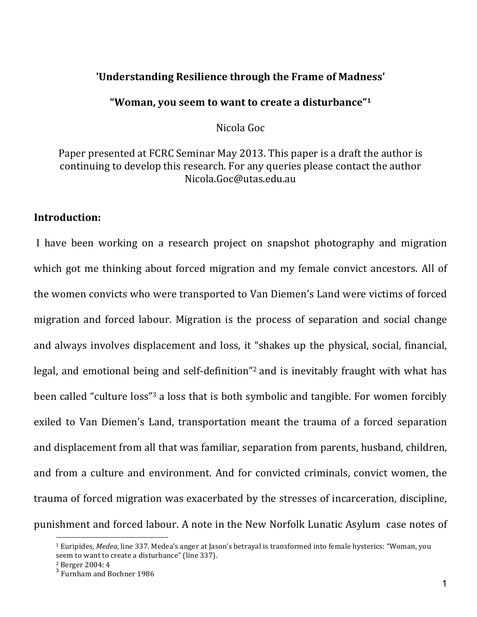# 'Understanding Resilience through the Frame of Madness'

## "Woman, you seem to want to create a disturbance"<sup>1</sup>

Nicola'Goc

# Paper presented at FCRC Seminar May 2013. This paper is a draft the author is continuing to develop this research. For any queries please contact the author Nicola.Goc@utas.edu.au

## **Introduction:**

I have been working on a research project on snapshot photography and migration which got me thinking about forced migration and my female convict ancestors. All of the women convicts who were transported to Van Diemen's Land were victims of forced migration and forced labour. Migration is the process of separation and social change and always involves displacement and loss, it "shakes up the physical, social, financial, legal, and emotional being and self-definition"<sup>2</sup> and is inevitably fraught with what has been called "culture loss"<sup>3</sup> a loss that is both symbolic and tangible. For women forcibly exiled to Van Diemen's Land, transportation meant the trauma of a forced separation and displacement from all that was familiar, separation from parents, husband, children, and from a culture and environment. And for convicted criminals, convict women, the trauma of forced migration was exacerbated by the stresses of incarceration, discipline, punishment and forced labour. A note in the New Norfolk Lunatic Asylum case notes of

<sup>&</sup>lt;sup>1</sup> Euripides, *Medea*, line 337. Medea's anger at Jason's betrayal is transformed into female hysterics: "Woman, you seem to want to create a disturbance" (line 337).

 $2$  Berger 2004: 4

<sup>&</sup>lt;sup>3</sup> Furnham and Bochner 1986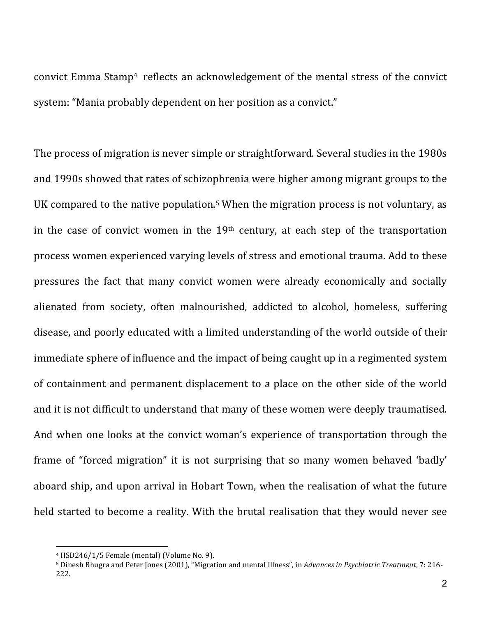convict Emma Stamp<sup>4</sup> reflects an acknowledgement of the mental stress of the convict system: "Mania probably dependent on her position as a convict."

The process of migration is never simple or straightforward. Several studies in the 1980s and 1990s showed that rates of schizophrenia were higher among migrant groups to the UK compared to the native population.<sup>5</sup> When the migration process is not voluntary, as in the case of convict women in the  $19<sup>th</sup>$  century, at each step of the transportation process women experienced varying levels of stress and emotional trauma. Add to these pressures the fact that many convict women were already economically and socially alienated from society, often malnourished, addicted to alcohol, homeless, suffering disease, and poorly educated with a limited understanding of the world outside of their immediate sphere of influence and the impact of being caught up in a regimented system of containment and permanent displacement to a place on the other side of the world and it is not difficult to understand that many of these women were deeply traumatised. And when one looks at the convict woman's experience of transportation through the frame of "forced migration" it is not surprising that so many women behaved 'badly' aboard ship, and upon arrival in Hobart Town, when the realisation of what the future held started to become a reality. With the brutal realisation that they would never see

 $4$  HSD246/1/5 Female (mental) (Volume No. 9).

<sup>5</sup> Dinesh Bhugra and Peter Jones (2001), "Migration and mental Illness", in *Advances in Psychiatric Treatment*, 7: 216-222.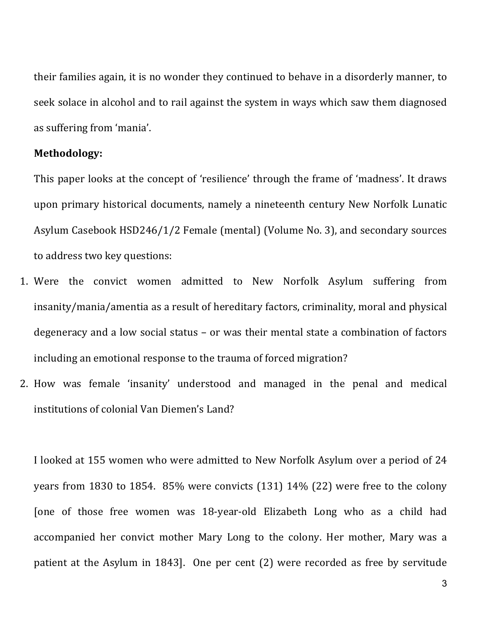their families again, it is no wonder they continued to behave in a disorderly manner, to seek solace in alcohol and to rail against the system in ways which saw them diagnosed as suffering from 'mania'.

#### **Methodology:**

This paper looks at the concept of 'resilience' through the frame of 'madness'. It draws' upon primary historical documents, namely a nineteenth century New Norfolk Lunatic Asylum Casebook HSD246/1/2 Female (mental) (Volume No. 3), and secondary sources to address two key questions:

- 1. Were the convict women admitted to New Norfolk Asylum suffering from insanity/mania/amentia as a result of hereditary factors, criminality, moral and physical degeneracy and a low social status - or was their mental state a combination of factors including an emotional response to the trauma of forced migration?
- 2. How was female 'insanity' understood and managed in the penal and medical institutions of colonial Van Diemen's Land?

I looked at 155 women who were admitted to New Norfolk Asylum over a period of 24 years from 1830 to 1854. 85% were convicts (131) 14% (22) were free to the colony [one of those free women was 18-year-old Elizabeth Long who as a child had accompanied her convict mother Mary Long to the colony. Her mother, Mary was a patient at the Asylum in 1843]. One per cent (2) were recorded as free by servitude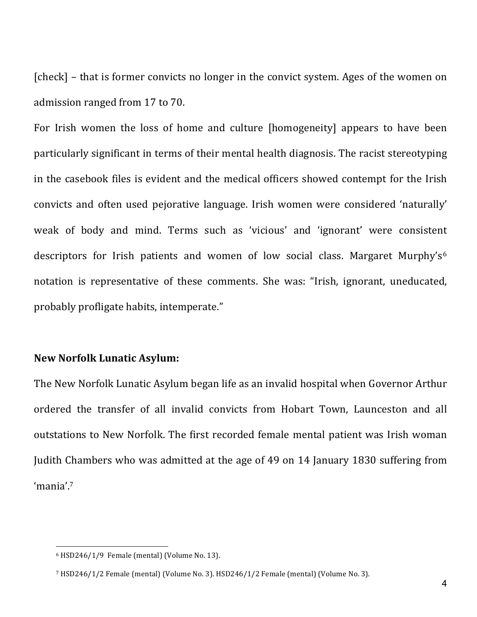[check] – that is former convicts no longer in the convict system. Ages of the women on admission ranged from 17 to 70.

For Irish women the loss of home and culture [homogeneity] appears to have been particularly significant in terms of their mental health diagnosis. The racist stereotyping in the casebook files is evident and the medical officers showed contempt for the Irish convicts' and' often' used' pejorative' language. Irish' women' were' considered' 'naturally'' weak of body and mind. Terms such as 'vicious' and 'ignorant' were consistent descriptors for Irish patients and women of low social class. Margaret Murphy's<sup>6</sup> notation is representative of these comments. She was: "Irish, ignorant, uneducated, probably profligate habits, intemperate."

# **New,Norfolk,Lunatic,Asylum:**

The New Norfolk Lunatic Asylum began life as an invalid hospital when Governor Arthur' ordered the transfer of all invalid convicts from Hobart Town, Launceston and all outstations to New Norfolk. The first recorded female mental patient was Irish woman Judith Chambers who was admitted at the age of 49 on 14 January 1830 suffering from 'mania'.7

 $6$  HSD246/1/9 Female (mental) (Volume No. 13).

<sup>&</sup>lt;sup>7</sup> HSD246/1/2 Female (mental) (Volume No. 3). HSD246/1/2 Female (mental) (Volume No. 3).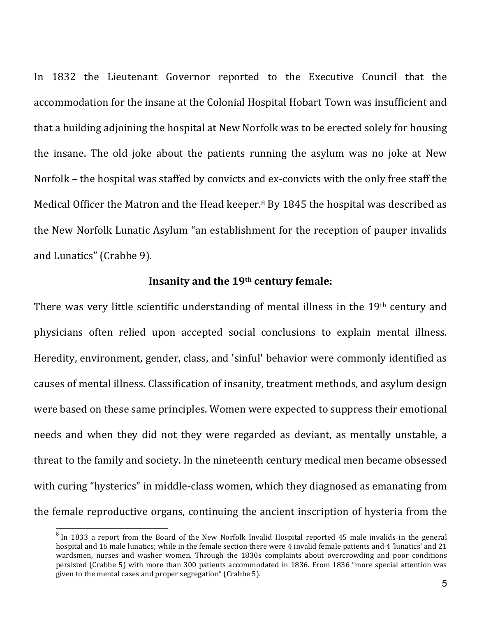In 1832 the Lieutenant Governor reported to the Executive Council that the accommodation for the insane at the Colonial Hospital Hobart Town was insufficient and that a building adjoining the hospital at New Norfolk was to be erected solely for housing the insane. The old joke about the patients running the asylum was no joke at New Norfolk – the hospital was staffed by convicts and ex-convicts with the only free staff the Medical Officer the Matron and the Head keeper.<sup>8</sup> By 1845 the hospital was described as the New Norfolk Lunatic Asylum "an establishment for the reception of pauper invalids and Lunatics" (Crabbe 9).

## Insanity and the 19<sup>th</sup> century female:

There was very little scientific understanding of mental illness in the 19th century and physicians often relied upon accepted social conclusions to explain mental illness. Heredity, environment, gender, class, and 'sinful' behavior were commonly identified as causes of mental illness. Classification of insanity, treatment methods, and asylum design were based on these same principles. Women were expected to suppress their emotional needs and when they did not they were regarded as deviant, as mentally unstable, a threat to the family and society. In the nineteenth century medical men became obsessed with curing "hysterics" in middle-class women, which they diagnosed as emanating from the female reproductive organs, continuing the ancient inscription of hysteria from the

 $8$  In 1833 a report from the Board of the New Norfolk Invalid Hospital reported 45 male invalids in the general hospital and 16 male lunatics; while in the female section there were 4 invalid female patients and 4 'lunatics' and 21 wardsmen, nurses and washer women. Through the 1830s complaints about overcrowding and poor conditions persisted (Crabbe 5) with more than 300 patients accommodated in 1836. From 1836 "more special attention was given to the mental cases and proper segregation" (Crabbe 5).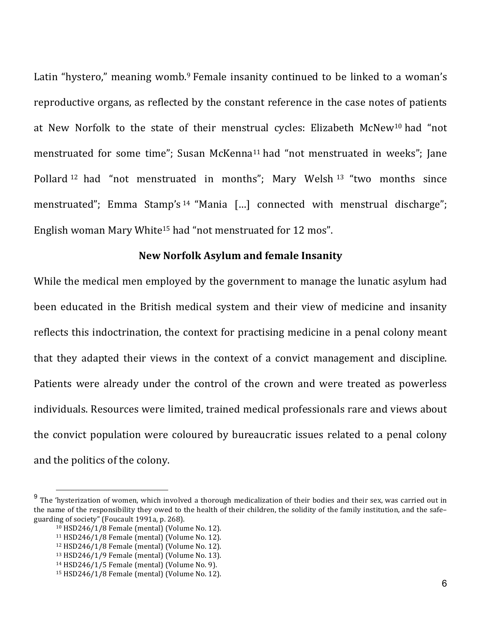Latin "hystero," meaning womb.<sup>9</sup> Female insanity continued to be linked to a woman's reproductive organs, as reflected by the constant reference in the case notes of patients at New Norfolk to the state of their menstrual cycles: Elizabeth McNew<sup>10</sup> had "not menstruated for some time"; Susan McKenna<sup>11</sup> had "not menstruated in weeks"; Jane Pollard <sup>12</sup> had "not menstruated in months"; Mary Welsh <sup>13</sup> "two months since menstruated"; Emma Stamp's <sup>14</sup> "Mania [...] connected with menstrual discharge"; English woman Mary White<sup>15</sup> had "not menstruated for 12 mos".

## **New,Norfolk,Asylum,and,female,Insanity**

While the medical men employed by the government to manage the lunatic asylum had been educated in the British medical system and their view of medicine and insanity reflects this indoctrination, the context for practising medicine in a penal colony meant that they adapted their views in the context of a convict management and discipline. Patients were already under the control of the crown and were treated as powerless individuals. Resources were limited, trained medical professionals rare and views about the convict population were coloured by bureaucratic issues related to a penal colony and the politics of the colony.

 $9$  The 'hysterization of women, which involved a thorough medicalization of their bodies and their sex, was carried out in the name of the responsibility they owed to the health of their children, the solidity of the family institution, and the safe– guarding of society" (Foucault 1991a, p. 268).

<sup>&</sup>lt;sup>10</sup> HSD246/1/8 Female (mental) (Volume No. 12).

 $11$  HSD246/1/8 Female (mental) (Volume No. 12).

<sup>&</sup>lt;sup>12</sup> HSD246/1/8 Female (mental) (Volume No. 12).

<sup>&</sup>lt;sup>13</sup> HSD246/1/9 Female (mental) (Volume No. 13).

<sup>&</sup>lt;sup>14</sup> HSD246/1/5 Female (mental) (Volume No. 9).

<sup>&</sup>lt;sup>15</sup> HSD246/1/8 Female (mental) (Volume No. 12).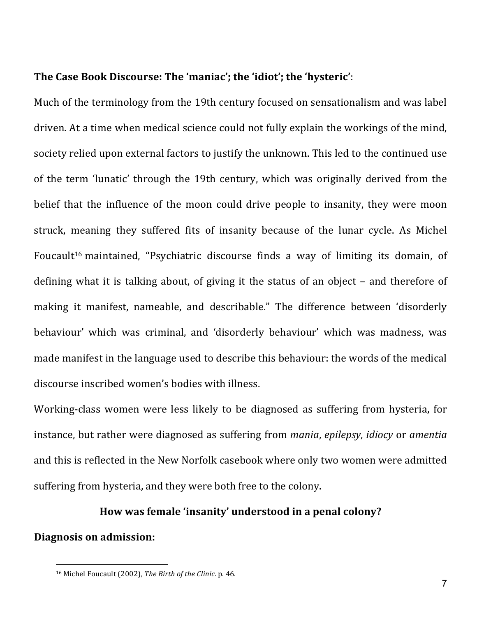## The Case Book Discourse: The 'maniac'; the 'idiot'; the 'hysteric':

Much of the terminology from the 19th century focused on sensationalism and was label driven. At a time when medical science could not fully explain the workings of the mind, society relied upon external factors to justify the unknown. This led to the continued use of the term 'lunatic' through the 19th century, which was originally derived from the belief that the influence of the moon could drive people to insanity, they were moon struck, meaning they suffered fits of insanity because of the lunar cycle. As Michel Foucault<sup>16</sup> maintained, "Psychiatric discourse finds a way of limiting its domain, of defining what it is talking about, of giving it the status of an object – and therefore of making it manifest, nameable, and describable." The difference between 'disorderly' behaviour' which was criminal, and 'disorderly behaviour' which was madness, was made manifest in the language used to describe this behaviour: the words of the medical discourse inscribed women's bodies with illness.

Working-class women were less likely to be diagnosed as suffering from hysteria, for instance,'but'rather'were'diagnosed'as'suffering'from'*mania*,'*epilepsy*,'*idiocy* or'*amentia* and this is reflected in the New Norfolk casebook where only two women were admitted suffering from hysteria, and they were both free to the colony.

## How was female 'insanity' understood in a penal colony?

# **Diagnosis on admission:**

<sup>&</sup>lt;sup>16</sup> Michel Foucault (2002), The Birth of the Clinic. p. 46.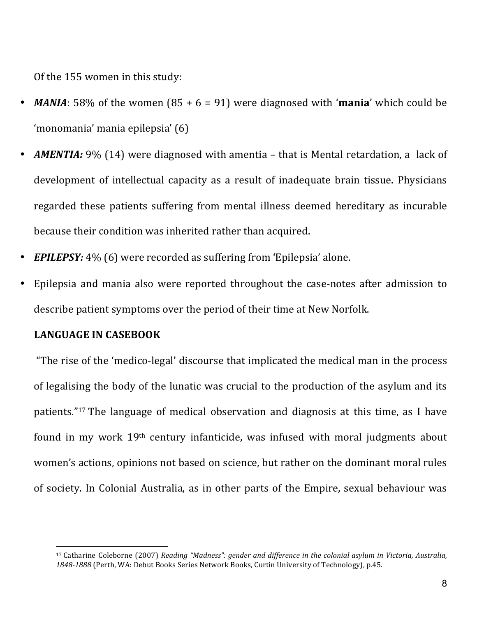Of the 155 women in this study:

- *MANIA*: 58% of the women  $(85 + 6 = 91)$  were diagnosed with '**mania**' which could be 'monomania''mania'epilepsia''(6)
- *AMENTIA:* 9% (14) were diagnosed with amentia that is Mental retardation, a lack of development of intellectual capacity as a result of inadequate brain tissue. Physicians regarded these patients suffering from mental illness deemed hereditary as incurable because their condition was inherited rather than acquired.
- **EPILEPSY:** 4% (6) were recorded as suffering from 'Epilepsia' alone.
- Epilepsia and mania also were reported throughout the case-notes after admission to describe patient symptoms over the period of their time at New Norfolk.

#### **LANGUAGE IN CASEBOOK**

 $\overline{a}$ 

"The rise of the 'medico-legal' discourse that implicated the medical man in the process of legalising the body of the lunatic was crucial to the production of the asylum and its patients."<sup>17</sup> The language of medical observation and diagnosis at this time, as I have found in my work  $19<sup>th</sup>$  century infanticide, was infused with moral judgments about women's actions, opinions not based on science, but rather on the dominant moral rules of society. In Colonial Australia, as in other parts of the Empire, sexual behaviour was

<sup>&</sup>lt;sup>17</sup> Catharine Coleborne (2007) Reading "Madness": gender and difference in the colonial asylum in Victoria, Australia, 1848-1888 (Perth, WA: Debut Books Series Network Books, Curtin University of Technology), p.45.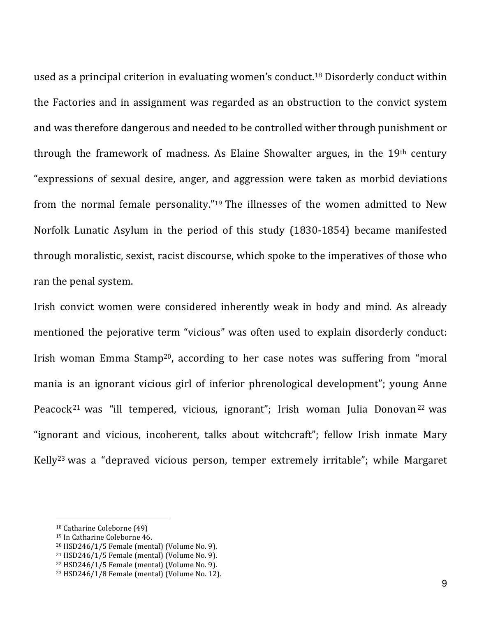used as a principal criterion in evaluating women's conduct.<sup>18</sup> Disorderly conduct within the Factories and in assignment was regarded as an obstruction to the convict system and was therefore dangerous and needed to be controlled wither through punishment or through the framework of madness. As Elaine Showalter argues, in the  $19<sup>th</sup>$  century "expressions of sexual desire, anger, and aggression were taken as morbid deviations from the normal female personality."<sup>19</sup> The illnesses of the women admitted to New Norfolk Lunatic Asylum in the period of this study (1830-1854) became manifested through moralistic, sexist, racist discourse, which spoke to the imperatives of those who ran the penal system.

Irish convict women were considered inherently weak in body and mind. As already mentioned the pejorative term "vicious" was often used to explain disorderly conduct: Irish woman Emma Stamp<sup>20</sup>, according to her case notes was suffering from "moral' mania is an ignorant vicious girl of inferior phrenological development"; young Anne Peacock<sup>21</sup> was "ill tempered, vicious, ignorant"; Irish woman Julia Donovan<sup>22</sup> was "ignorant and vicious, incoherent, talks about witchcraft"; fellow Irish inmate Mary Kelly<sup>23</sup> was a "depraved vicious person, temper extremely irritable"; while Margaret

<sup>&</sup>lt;sup>18</sup> Catharine Coleborne (49)

<sup>&</sup>lt;sup>19</sup> In Catharine Coleborne 46.

 $20$  HSD246/1/5 Female (mental) (Volume No. 9).

 $21$  HSD246/1/5 Female (mental) (Volume No. 9).

 $22$  HSD246/1/5 Female (mental) (Volume No. 9).

<sup>&</sup>lt;sup>23</sup> HSD246/1/8 Female (mental) (Volume No. 12).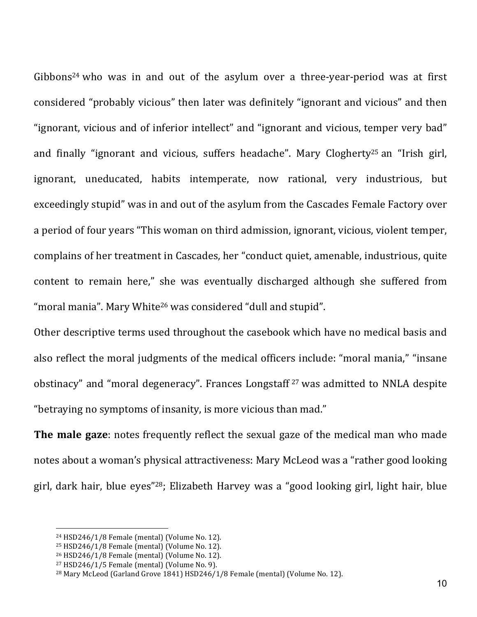Gibbons<sup>24</sup> who was in and out of the asylum over a three-year-period was at first considered "probably vicious" then later was definitely "ignorant and vicious" and then "ignorant, vicious and of inferior intellect" and "ignorant and vicious, temper very bad" and finally "ignorant and vicious, suffers headache". Mary Clogherty<sup>25</sup> an "Irish girl, ignorant, uneducated, habits intemperate, now rational, very industrious, but exceedingly stupid" was in and out of the asylum from the Cascades Female Factory over a period of four years "This woman on third admission, ignorant, vicious, violent temper, complains of her treatment in Cascades, her "conduct quiet, amenable, industrious, quite content to remain here," she was eventually discharged although she suffered from "moral mania". Mary White<sup>26</sup> was considered "dull and stupid".

Other descriptive terms used throughout the casebook which have no medical basis and also reflect the moral judgments of the medical officers include: "moral mania," "insane' obstinacy" and "moral degeneracy". Frances Longstaff<sup>27</sup> was admitted to NNLA despite "betraying no symptoms of insanity, is more vicious than mad."

The male gaze: notes frequently reflect the sexual gaze of the medical man who made notes about a woman's physical attractiveness: Mary McLeod was a "rather good looking girl, dark hair, blue eyes"<sup>28</sup>; Elizabeth Harvey was a "good looking girl, light hair, blue'

 $24$  HSD246/1/8 Female (mental) (Volume No. 12).

 $25$  HSD246/1/8 Female (mental) (Volume No. 12).

<sup>&</sup>lt;sup>26</sup> HSD246/1/8 Female (mental) (Volume No. 12).

 $27$  HSD246/1/5 Female (mental) (Volume No. 9).

<sup>&</sup>lt;sup>28</sup> Mary McLeod (Garland Grove 1841) HSD246/1/8 Female (mental) (Volume No. 12).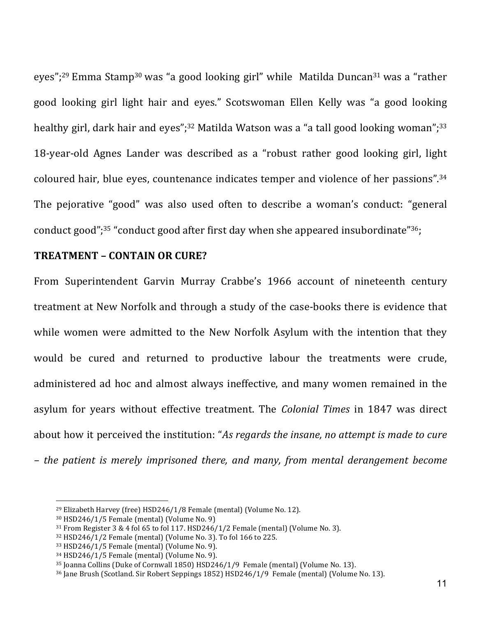eyes";<sup>29</sup> Emma Stamp<sup>30</sup> was "a good looking girl" while Matilda Duncan<sup>31</sup> was a "rather good looking girl light hair and eyes." Scotswoman Ellen Kelly was "a good looking healthy girl, dark hair and eyes";<sup>32</sup> Matilda Watson was a "a tall good looking woman";<sup>33</sup> 18-year-old Agnes Lander was described as a "robust rather good looking girl, light coloured hair, blue eyes, countenance indicates temper and violence of her passions".<sup>34</sup> The pejorative "good" was also used often to describe a woman's conduct: "general conduct good";<sup>35</sup> "conduct good after first day when she appeared insubordinate"<sup>36</sup>;

## **TREATMENT,– CONTAIN,OR,CURE?**

From Superintendent Garvin Murray Crabbe's 1966 account of nineteenth century treatment at New Norfolk and through a study of the case-books there is evidence that while women were admitted to the New Norfolk Asylum with the intention that they would be cured and returned to productive labour the treatments were crude, administered ad hoc and almost always ineffective, and many women remained in the asylum for years without effective treatment. The *Colonial Times* in 1847 was direct about how it perceived the institution: "As regards the insane, no attempt is made to cure *– the\* patient\* is\* merely\* imprisoned\* there,\* and\* many,\* from\* mental\* derangement\* become\**

<sup>&</sup>lt;sup>29</sup> Elizabeth Harvey (free) HSD246/1/8 Female (mental) (Volume No. 12).

 $30$  HSD246/1/5 Female (mental) (Volume No. 9)

 $31$  From Register 3 & 4 fol 65 to fol 117. HSD246/1/2 Female (mental) (Volume No. 3).

<sup>32</sup> HSD246/1/2 Female (mental) (Volume No. 3). To fol 166 to 225.

<sup>33</sup> HSD246/1/5 Female (mental) (Volume No. 9).

<sup>34</sup> HSD246/1/5 Female (mental) (Volume No. 9).

<sup>&</sup>lt;sup>35</sup> Joanna Collins (Duke of Cornwall 1850) HSD246/1/9 Female (mental) (Volume No. 13).

<sup>36</sup> Jane Brush (Scotland. Sir Robert Seppings 1852) HSD246/1/9 Female (mental) (Volume No. 13).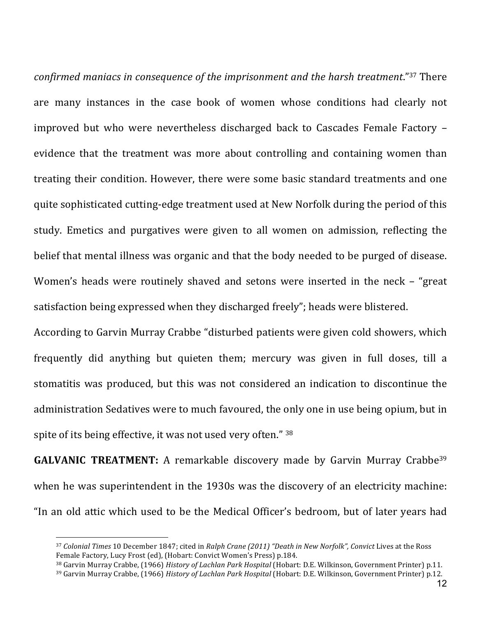*confirmed maniacs in consequence of the imprisonment and the harsh treatment."*37 There are many instances in the case book of women whose conditions had clearly not improved but who were nevertheless discharged back to Cascades Female Factory – evidence that the treatment was more about controlling and containing women than treating their condition. However, there were some basic standard treatments and one quite sophisticated cutting-edge treatment used at New Norfolk during the period of this study. Emetics and purgatives were given to all women on admission, reflecting the belief that mental illness was organic and that the body needed to be purged of disease. Women's heads were routinely shaved and setons were inserted in the neck – "great" satisfaction being expressed when they discharged freely"; heads were blistered.

According to Garvin Murray Crabbe "disturbed patients were given cold showers, which frequently did anything but quieten them; mercury was given in full doses, till a stomatitis' was produced, but this was not considered an indication to discontinue the administration Sedatives were to much favoured, the only one in use being opium, but in spite of its being effective, it was not used very often." 38

**GALVANIC TREATMENT:** A remarkable discovery made by Garvin Murray Crabbe<sup>39</sup> when he was superintendent in the 1930s was the discovery of an electricity machine: "In an old attic which used to be the Medical Officer's bedroom, but of later years had

<sup>&</sup>lt;sup>37</sup> Colonial Times 10 December 1847; cited in Ralph Crane (2011) "Death in New Norfolk", Convict Lives at the Ross Female Factory, Lucy Frost (ed), (Hobart: Convict Women's Press) p.184.

<sup>&</sup>lt;sup>38</sup> Garvin Murray Crabbe, (1966) *History of Lachlan Park Hospital* (Hobart: D.E. Wilkinson, Government Printer) p.11.

<sup>&</sup>lt;sup>39</sup> Garvin Murray Crabbe, (1966) *History of Lachlan Park Hospital* (Hobart: D.E. Wilkinson, Government Printer) p.12.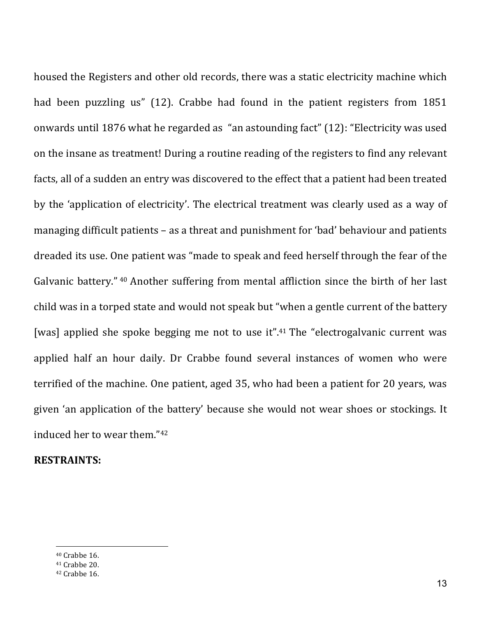housed the Registers and other old records, there was a static electricity machine which had been puzzling us" (12). Crabbe had found in the patient registers from 1851 onwards until 1876 what he regarded as "an astounding fact" (12): "Electricity was used on the insane as treatment! During a routine reading of the registers to find any relevant facts, all of a sudden an entry was discovered to the effect that a patient had been treated by the 'application' of electricity'. The electrical treatment was clearly used as a way of managing difficult patients – as a threat and punishment for 'bad' behaviour and patients dreaded its use. One patient was "made to speak and feed herself through the fear of the Galvanic battery." <sup>40</sup> Another suffering from mental affliction since the birth of her last child was in a torped state and would not speak but "when a gentle current of the battery [was] applied she spoke begging me not to use it".<sup>41</sup> The "electrogalvanic current was' applied half an hour daily. Dr Crabbe found several instances of women who were terrified of the machine. One patient, aged 35, who had been a patient for 20 years, was given 'an application of the battery' because she would not wear shoes or stockings. It induced her to wear them."<sup>42</sup>

## **RESTRAINTS:**

 $40$  Crabbe 16.

 $41$  Crabbe 20.

 $42$  Crabbe 16.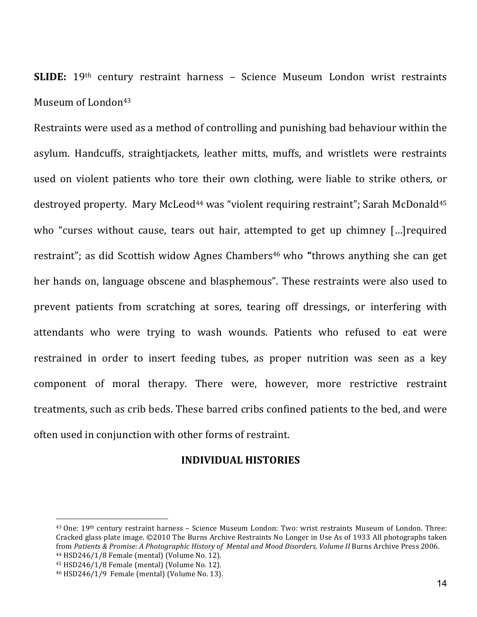**SLIDE:** 19th century restraint harness - Science Museum London wrist restraints Museum of London<sup>43</sup>

Restraints were used as a method of controlling and punishing bad behaviour within the asylum. Handcuffs, straightjackets, leather mitts, muffs, and wristlets were restraints used' on violent patients' who tore their' own clothing, were liable to strike others, or destroyed property. Mary McLeod<sup>44</sup> was "violent requiring restraint"; Sarah McDonald<sup>45</sup> who "curses without cause, tears out hair, attempted to get up chimney [...] required restraint"; as did Scottish widow Agnes Chambers<sup>46</sup> who "throws anything she can get her hands on, language obscene and blasphemous". These restraints were also used to prevent patients from scratching at sores, tearing off dressings, or interfering with attendants who were trying to wash wounds. Patients who refused to eat were restrained in order to insert feeding tubes, as proper nutrition was seen as a key component of moral therapy. There were, however, more restrictive restraint treatments, such as crib beds. These barred cribs confined patients to the bed, and were often used in conjunction with other forms of restraint.

## **INDIVIDUAL,HISTORIES**

<sup>&</sup>lt;sup>43</sup> One: 19<sup>th</sup> century restraint harness - Science Museum London: Two: wrist restraints Museum of London. Three: Cracked glass plate image. ©2010 The Burns Archive Restraints No Longer in Use As of 1933 All photographs taken from Patients & Promise: A Photographic History of Mental and Mood Disorders, Volume II Burns Archive Press 2006. 44 HSD246/1/8 Female (mental) (Volume No. 12).

 $45$  HSD246/1/8 Female (mental) (Volume No. 12).

<sup>46</sup> HSD246/1/9 Female (mental) (Volume No. 13).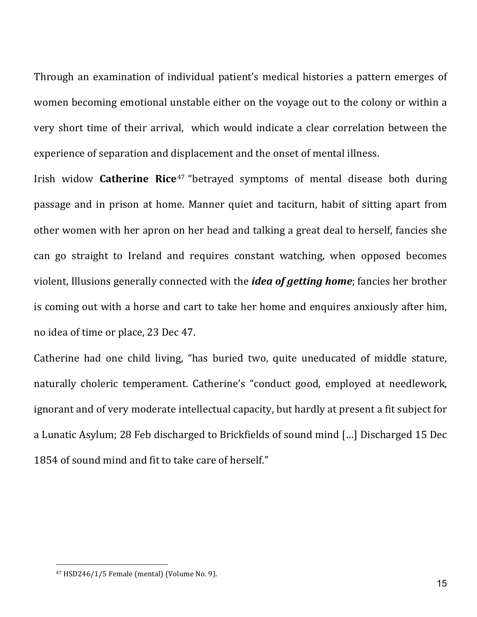Through an examination of individual patient's medical histories a pattern emerges of women'becoming emotional unstable either on the voyage out to the colony or within a very short time of their arrival, which would indicate a clear correlation between the experience of separation and displacement and the onset of mental illness.

Irish widow **Catherine Rice**<sup>47</sup> "betrayed symptoms of mental disease both during passage and in prison at home. Manner quiet and taciturn, habit of sitting apart from other women with her apron on her head and talking a great deal to herself, fancies she can go straight to Ireland and requires constant watching, when opposed becomes violent, Illusions generally connected with the *idea of getting home*; fancies her brother is coming out with a horse and cart to take her home and enquires anxiously after him, no idea of time or place, 23 Dec 47.

Catherine had one child living, "has buried two, quite uneducated of middle stature, naturally choleric temperament. Catherine's "conduct good, employed at needlework, ignorant and of very moderate intellectual capacity, but hardly at present a fit subject for a Lunatic Asylum; 28 Feb discharged to Brickfields of sound mind [...] Discharged 15 Dec 1854 of sound mind and fit to take care of herself."

 $47$  HSD246/1/5 Female (mental) (Volume No. 9).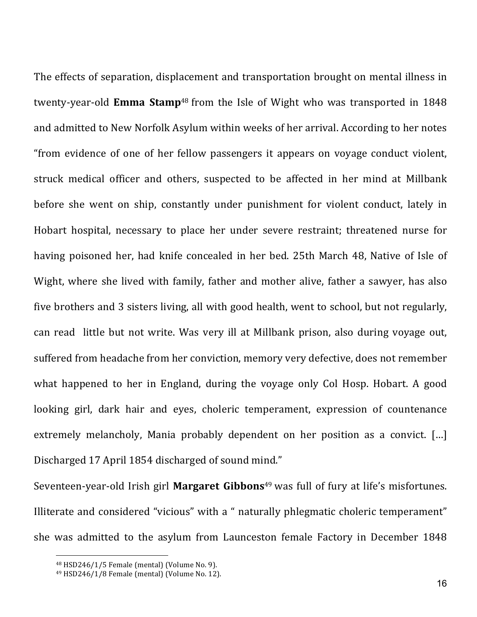The effects of separation, displacement and transportation brought on mental illness in twenty-year-old **Emma Stamp**<sup>48</sup> from the Isle of Wight who was transported in 1848 and admitted to New Norfolk Asylum within weeks of her arrival. According to her notes "from evidence of one of her fellow passengers it appears on voyage conduct violent, struck medical officer and others, suspected to be affected in her mind at Millbank before she went on ship, constantly under punishment for violent conduct, lately in Hobart hospital, necessary to place her under severe restraint; threatened nurse for having poisoned her, had knife concealed in her bed. 25th March 48, Native of Isle of Wight, where she lived with family, father and mother alive, father a sawyer, has also five brothers and 3 sisters living, all with good health, went to school, but not regularly, can read little but not write. Was very ill at Millbank prison, also during voyage out, suffered from headache from her conviction, memory very defective, does not remember what happened to her in England, during the voyage only Col Hosp. Hobart. A good looking girl, dark hair and eyes, choleric temperament, expression of countenance extremely melancholy, Mania probably dependent on her position as a convict. [...] Discharged 17 April 1854 discharged of sound mind."

Seventeen-year-old Irish girl Margaret Gibbons<sup>49</sup> was full of fury at life's misfortunes. Illiterate and considered "vicious" with a " naturally phlegmatic choleric temperament" she was admitted to the asylum from Launceston female Factory in December 1848

 $48$  HSD246/1/5 Female (mental) (Volume No. 9).

<sup>49</sup> HSD246/1/8 Female (mental) (Volume No. 12).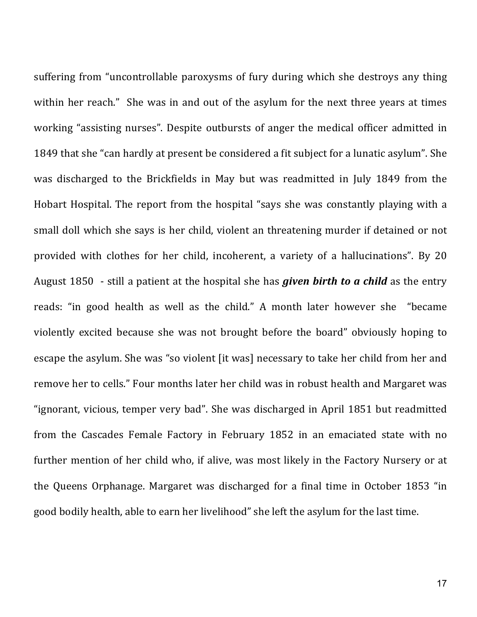suffering from "uncontrollable paroxysms of fury during which she destroys any thing within her reach." She was in and out of the asylum for the next three years at times working "assisting nurses". Despite outbursts of anger the medical officer admitted in 1849 that she "can hardly at present be considered a fit subject for a lunatic asylum". She was discharged to the Brickfields in May but was readmitted in July 1849 from the Hobart Hospital. The report from the hospital "says she was constantly playing with a small doll which she says is her child, violent an threatening murder if detained or not provided with clothes for her child, incoherent, a variety of a hallucinations". By 20 August 1850 - still a patient at the hospital she has *given birth to a child* as the entry reads: "in good health as well as the child." A month later however she "became violently excited because she was not brought before the board" obviously hoping to escape the asylum. She was "so violent [it was] necessary to take her child from her and remove her to cells." Four months later her child was in robust health and Margaret was "ignorant, vicious, temper very bad". She was discharged in April 1851 but readmitted from the Cascades Female Factory in February 1852 in an emaciated state with no further mention of her child who, if alive, was most likely in the Factory Nursery or at the Queens Orphanage. Margaret was discharged for a final time in October 1853 "in' good bodily health, able to earn her livelihood" she left the asylum for the last time.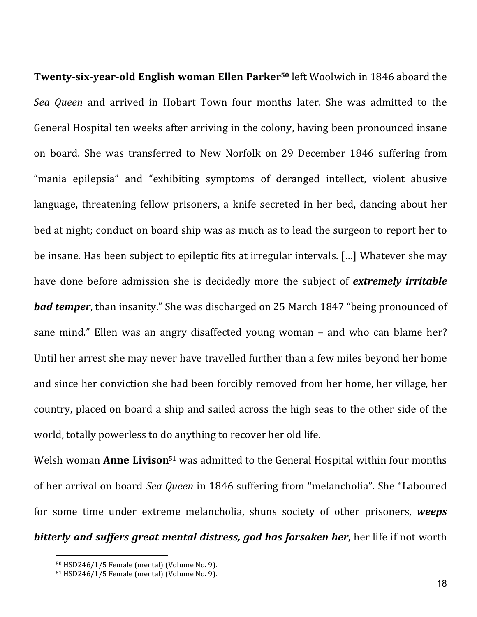**Twenty-six-year-old English woman Ellen Parker<sup>50</sup> left Woolwich in 1846 aboard the** *Sea Queen* and arrived in Hobart Town four months later. She was admitted to the General Hospital ten weeks after arriving in the colony, having been pronounced insane on board. She was transferred to New Norfolk on 29 December 1846 suffering from "mania epilepsia" and "exhibiting symptoms of deranged intellect, violent abusive language, threatening fellow prisoners, a knife secreted in her bed, dancing about her bed at night; conduct on board ship was as much as to lead the surgeon to report her to be insane. Has been subject to epileptic fits at irregular intervals. [...] Whatever she may have done before admission she is decidedly more the subject of *extremely irritable bad temper*, than insanity." She was discharged on 25 March 1847 "being pronounced of sane mind." Ellen was an angry disaffected young woman – and who can blame her? Until her arrest she may never have travelled further than a few miles beyond her home and since her conviction she had been forcibly removed from her home, her village, her country, placed on board a ship and sailed across the high seas to the other side of the world, totally powerless to do anything to recover her old life.

Welsh woman **Anne Livison**<sup>51</sup> was admitted to the General Hospital within four months of her arrival on board *Sea Queen* in 1846 suffering from "melancholia". She "Laboured for some time under extreme melancholia, shuns society of other prisoners, weeps **bitterly and suffers great mental distress, god has forsaken her, her life if not worth** 

<sup>50</sup> HSD246/1/5 Female (mental) (Volume No. 9).

<sup>51</sup> HSD246/1/5 Female (mental) (Volume No. 9).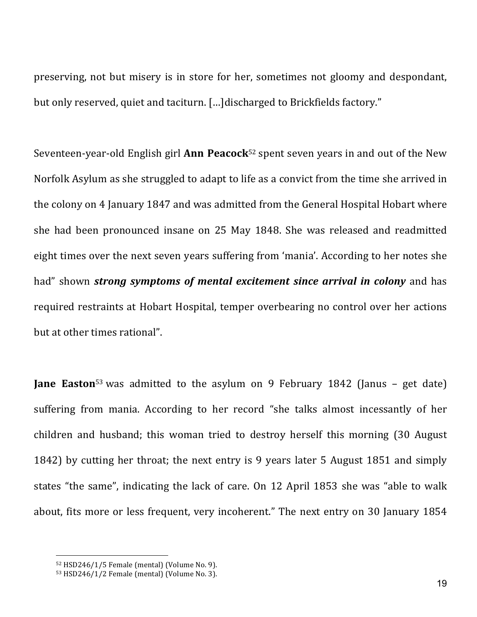preserving, not but misery is in store for her, sometimes not gloomy and despondant, but only reserved, quiet and taciturn. [...]discharged to Brickfields factory."

Seventeen-year-old English girl **Ann Peacock**<sup>52</sup> spent seven years in and out of the New Norfolk Asylum as she struggled to adapt to life as a convict from the time she arrived in the colony on 4 January 1847 and was admitted from the General Hospital Hobart where she had been pronounced insane on 25 May 1848. She was released and readmitted eight times over the next seven years suffering from 'mania'. According to her notes she had" shown *strong symptoms of mental excitement since arrival in colony* and has required restraints at Hobart Hospital, temper overbearing no control over her actions but at other times rational".

**Jane Easton**<sup>53</sup> was admitted to the asylum on 9 February 1842 (Janus - get date) suffering from mania. According to her record "she talks almost incessantly of her children and husband; this woman tried to destroy herself this morning (30 August) 1842) by cutting her throat; the next entry is 9 years later 5 August 1851 and simply states "the same", indicating the lack of care. On 12 April 1853 she was "able to walk about, fits more or less frequent, very incoherent." The next entry on 30 January 1854

 $52$  HSD246/1/5 Female (mental) (Volume No. 9).

<sup>53</sup> HSD246/1/2 Female (mental) (Volume No. 3).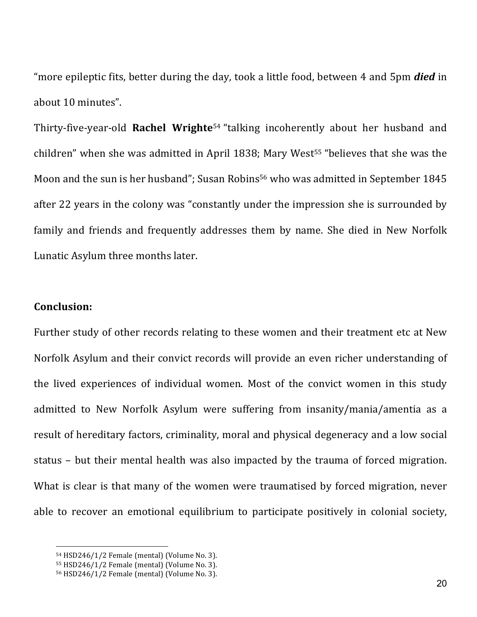"more epileptic fits, better during the day, took a little food, between 4 and 5pm *died* in about 10 minutes".

Thirty-five-year-old **Rachel Wrighte**<sup>54</sup> "talking incoherently about her husband and children" when she was admitted in April 1838; Mary West<sup>55</sup> "believes that she was the Moon and the sun is her husband"; Susan Robins<sup>56</sup> who was admitted in September 1845 after 22 years in the colony was "constantly under the impression she is surrounded by family and friends and frequently addresses them by name. She died in New Norfolk Lunatic Asylum three months later.

#### **Conclusion:**

 $\overline{a}$ 

Further study of other records relating to these women and their treatment etc at New Norfolk Asylum and their convict records will provide an even richer understanding of the lived experiences of individual women. Most of the convict women in this study admitted to New Norfolk Asylum were suffering from insanity/mania/amentia as a result of hereditary factors, criminality, moral and physical degeneracy and a low social status - but their mental health was also impacted by the trauma of forced migration. What is clear is that many of the women were traumatised by forced migration, never able to recover an emotional equilibrium to participate positively in colonial society,

<sup>54</sup> HSD246/1/2 Female (mental) (Volume No. 3).

 $55$  HSD246/1/2 Female (mental) (Volume No. 3).

<sup>56</sup> HSD246/1/2 Female (mental) (Volume No. 3).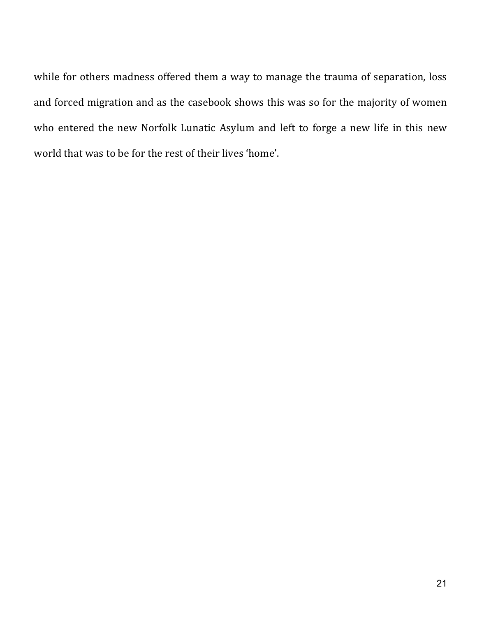while for others madness offered them a way to manage the trauma of separation, loss and forced migration and as the casebook shows this was so for the majority of women who entered the new Norfolk Lunatic Asylum and left to forge a new life in this new world that was to be for the rest of their lives 'home'.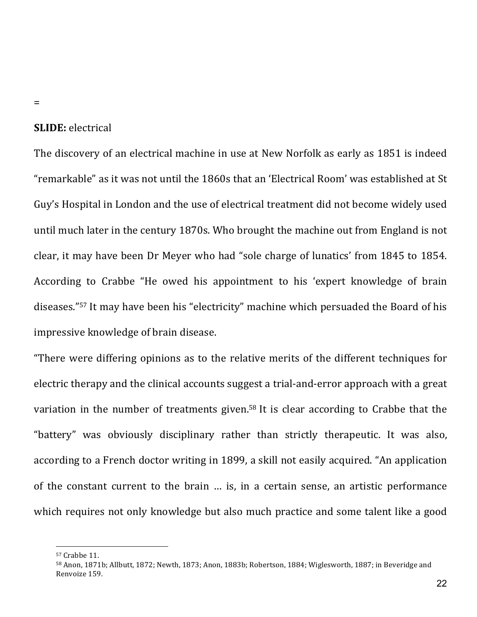#### =

#### **SLIDE:** electrical'

The discovery of an electrical machine in use at New Norfolk as early as 1851 is indeed "remarkable" as it was not until the 1860s that an 'Electrical Room' was established at St Guy's Hospital in London and the use of electrical treatment did not become widely used until much later in the century 1870s. Who brought the machine out from England is not clear, it may have been Dr Meyer who had "sole charge of lunatics' from 1845 to 1854. According to Crabbe "He owed his appointment to his 'expert knowledge of brain' diseases."<sup>57</sup> It may have been his "electricity" machine which persuaded the Board of his impressive knowledge of brain disease.

"There were differing opinions as to the relative merits of the different techniques for electric therapy and the clinical accounts suggest a trial-and-error approach with a great variation in the number of treatments given.<sup>58</sup> It is clear according to Crabbe that the "battery" was obviously disciplinary rather than strictly therapeutic. It was also, according to a French doctor writing in 1899, a skill not easily acquired. "An application of the constant current to the brain ... is, in a certain sense, an artistic performance which requires not only knowledge but also much practice and some talent like a good

<sup>57</sup> Crabbe 11.

<sup>58</sup> Anon, 1871b; Allbutt, 1872; Newth, 1873; Anon, 1883b; Robertson, 1884; Wiglesworth, 1887; in Beveridge and Renvoize 159.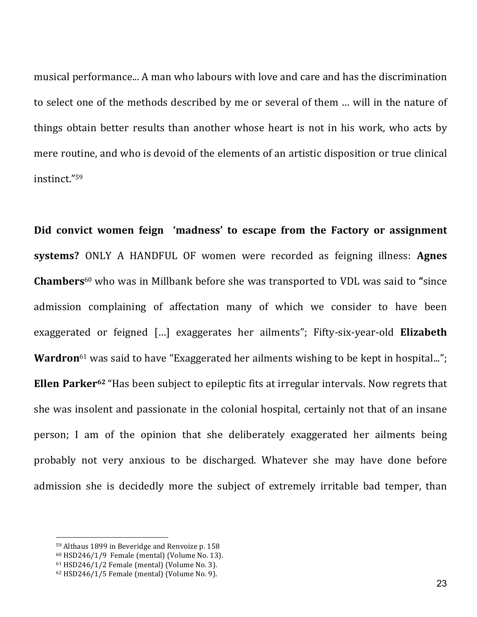musical performance... A man who labours with love and care and has the discrimination to select one of the methods described by me or several of them ... will in the nature of things obtain better results than another whose heart is not in his work, who acts by mere routine, and who is devoid of the elements of an artistic disposition or true clinical instinct."59

Did convict women feign 'madness' to escape from the Factory or assignment **systems?** ONLY A HANDFUL OF women were recorded as feigning illness: **Agnes Chambers**<sup>60</sup> who'was'in'Millbank'before'she'was'transported'to'VDL'was'said'to'**"**since' admission complaining of affectation many of which we consider to have been exaggerated or feigned [...] exaggerates her ailments"; Fifty-six-year-old **Elizabeth Wardron**<sup>61</sup> was said to have "Exaggerated her ailments wishing to be kept in hospital..."; **Ellen Parker**<sup>62</sup> "Has been subject to epileptic fits at irregular intervals. Now regrets that she was insolent and passionate in the colonial hospital, certainly not that of an insane person; I am of the opinion that she deliberately exaggerated her ailments being probably not very anxious to be discharged. Whatever she may have done before admission she is decidedly more the subject of extremely irritable bad temper, than

<sup>59</sup> Althaus 1899 in Beveridge and Renvoize p. 158

 $60$  HSD246/1/9 Female (mental) (Volume No. 13).

 $61$  HSD246/1/2 Female (mental) (Volume No. 3).

 $62$  HSD246/1/5 Female (mental) (Volume No. 9).